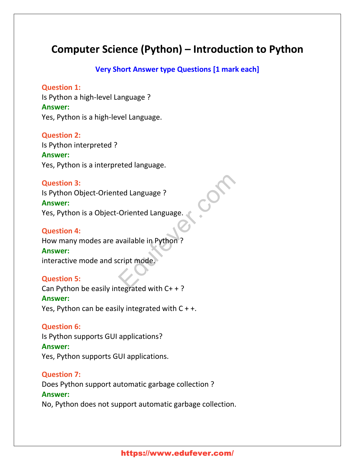# **Computer Science (Python) – Introduction to Python**

#### **Very Short Answer type Questions [1 mark each]**

#### **Question 1:**

Is Python a high-level Language ? **Answer:** Yes, Python is a high-level Language.

#### **Question 2:**

Is Python interpreted ? **Answer:** Yes, Python is a interpreted language.

#### **Question 3:**

Is Python Object-Oriented Language ? **Answer:** Yes, Python is a Object-Oriented Language.

#### **Question 4:**

How many modes are available in Python ? **Answer:** interactive mode and script mode. Eduaraguage ?<br>
Coriented Language.<br>
Expansible in Python ?<br>
Cript mode.

#### **Question 5:**

Can Python be easily integrated with C+ + ? **Answer:** Yes, Python can be easily integrated with  $C + +$ .

#### **Question 6:**

Is Python supports GUI applications? **Answer:** Yes, Python supports GUI applications.

#### **Question 7:**

Does Python support automatic garbage collection ? **Answer:** No, Python does not support automatic garbage collection.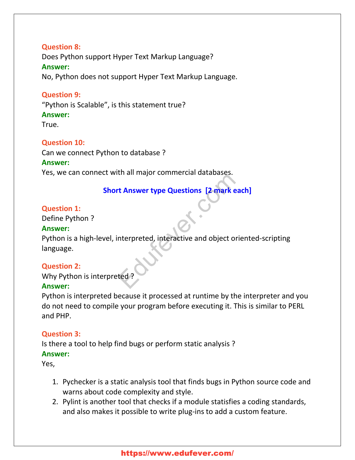# **Question 8:** Does Python support Hyper Text Markup Language? **Answer:** No, Python does not support Hyper Text Markup Language.

#### **Question 9:**

"Python is Scalable", is this statement true?

# **Answer:**

True.

## **Question 10:**

Can we connect Python to database ?

#### **Answer:**

Yes, we can connect with all major commercial databases.

# **Short Answer type Questions [2 mark each]**

#### **Question 1:**

Define Python ?

#### **Answer:**

Python is a high-level, interpreted, interactive and object oriented-scripting language. t Answer type Questions [2 mark each<br>nterpreted, interactive and object orie<br>ted ?

## **Question 2:**

Why Python is interpreted ?

# **Answer:**

Python is interpreted because it processed at runtime by the interpreter and you do not need to compile your program before executing it. This is similar to PERL and PHP.

## **Question 3:**

Is there a tool to help find bugs or perform static analysis ?

## **Answer:**

Yes,

- 1. Pychecker is a static analysis tool that finds bugs in Python source code and warns about code complexity and style.
- 2. Pylint is another tool that checks if a module statisfies a coding standards, and also makes it possible to write plug-ins to add a custom feature.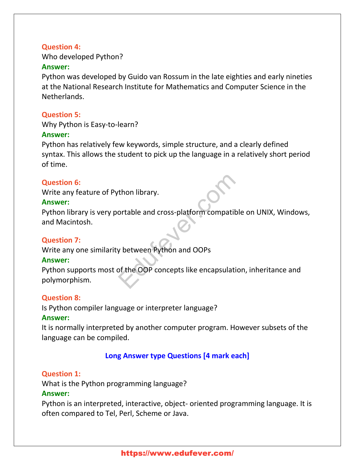#### **Question 4:**

Who developed Python?

#### **Answer:**

Python was developed by Guido van Rossum in the late eighties and early nineties at the National Research Institute for Mathematics and Computer Science in the Netherlands.

#### **Question 5:**

Why Python is Easy-to-learn?

#### **Answer:**

Python has relatively few keywords, simple structure, and a clearly defined syntax. This allows the student to pick up the language in a relatively short period of time.

#### **Question 6:**

Write any feature of Python library.

#### **Answer:**

Python library is very portable and cross-platform compatible on UNIX, Windows, and Macintosh.

## **Question 7:**

Write any one similarity between Python and OOPs

## **Answer:**

Python supports most of the OOP concepts like encapsulation, inheritance and polymorphism. The Universe<br>The and cross-platform compatible<br>The Westween Python and OOPs<br>of the OOP concepts like encapsulation

## **Question 8:**

Is Python compiler language or interpreter language? **Answer:**

It is normally interpreted by another computer program. However subsets of the language can be compiled.

# **Long Answer type Questions [4 mark each]**

# **Question 1:**

What is the Python programming language? **Answer:**

Python is an interpreted, interactive, object- oriented programming language. It is often compared to Tel, Perl, Scheme or Java.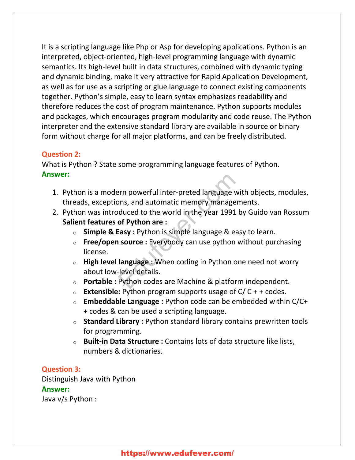It is a scripting language like Php or Asp for developing applications. Python is an interpreted, object-oriented, high-level programming language with dynamic semantics. Its high-level built in data structures, combined with dynamic typing and dynamic binding, make it very attractive for Rapid Application Development, as well as for use as a scripting or glue language to connect existing components together. Python's simple, easy to learn syntax emphasizes readability and therefore reduces the cost of program maintenance. Python supports modules and packages, which encourages program modularity and code reuse. The Python interpreter and the extensive standard library are available in source or binary form without charge for all major platforms, and can be freely distributed.

#### **Question 2:**

What is Python ? State some programming language features of Python. **Answer:**

- 1. Python is a modern powerful inter-preted language with objects, modules, threads, exceptions, and automatic memory managements.
- 2. Python was introduced to the world in the year 1991 by Guido van Rossum **Salient features of Python are :** Prim powerful inter-preted language with<br>
Dins, and automatic memory manageminduced to the world in the year 1991 by<br> **of Python are :**<br> **Easy :** Python is simple language & easy<br> **Source :** Everybody can use python w<br> **la** 
	- o **Simple & Easy :** Python is simple language & easy to learn.
	- o **Free/open source :** Everybody can use python without purchasing license.
	- o **High level language :** When coding in Python one need not worry about low-level details.
	- o **Portable :** Python codes are Machine & platform independent.
	- $\circ$  **Extensible:** Python program supports usage of  $C/C + + \text{codes}$ .
	- o **Embeddable Language :** Python code can be embedded within C/C+ + codes & can be used a scripting language.
	- o **Standard Library :** Python standard library contains prewritten tools for programming.
	- o **Built-in Data Structure :** Contains lots of data structure like lists, numbers & dictionaries.

#### **Question 3:**

Distinguish Java with Python **Answer:** Java v/s Python :